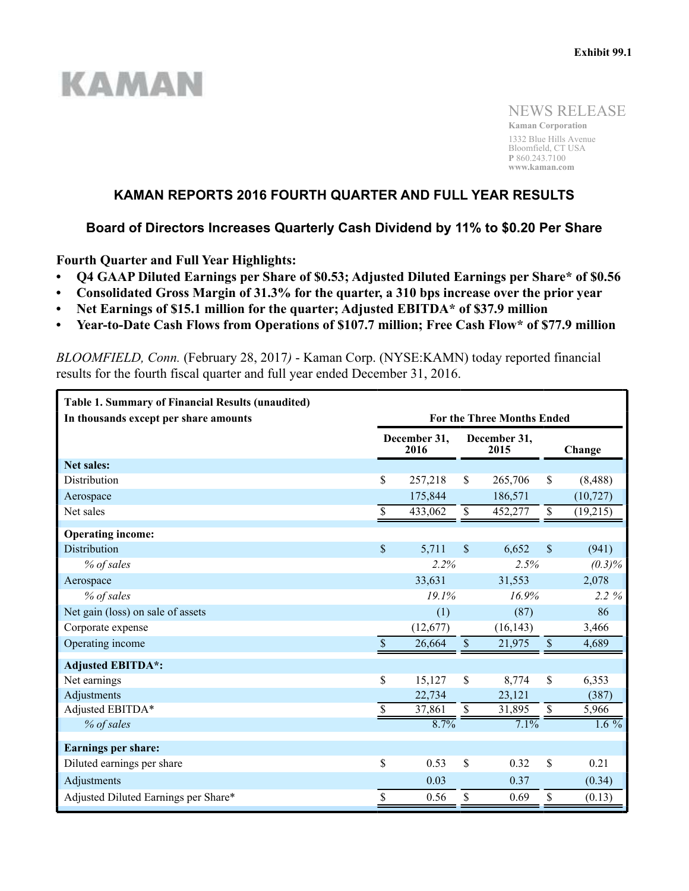# **KAMAN**

NEWS RELEASE

**Kaman Corporation** 1332 Blue Hills Avenue Bloomfield, CT USA **P** 860.243.7100 **www.kaman.com**

# **KAMAN REPORTS 2016 FOURTH QUARTER AND FULL YEAR RESULTS**

# **Board of Directors Increases Quarterly Cash Dividend by 11% to \$0.20 Per Share**

**Fourth Quarter and Full Year Highlights:**

- **Q4 GAAP Diluted Earnings per Share of \$0.53; Adjusted Diluted Earnings per Share\* of \$0.56**
- **Consolidated Gross Margin of 31.3% for the quarter, a 310 bps increase over the prior year**
- **Net Earnings of \$15.1 million for the quarter; Adjusted EBITDA\* of \$37.9 million**
- **Year-to-Date Cash Flows from Operations of \$107.7 million; Free Cash Flow\* of \$77.9 million**

*BLOOMFIELD, Conn.* (February 28, 2017*)* - Kaman Corp. (NYSE:KAMN) today reported financial results for the fourth fiscal quarter and full year ended December 31, 2016.

| <b>Table 1. Summary of Financial Results (unaudited)</b><br>In thousands except per share amounts | <b>For the Three Months Ended</b> |          |                           |                      |               |           |  |  |
|---------------------------------------------------------------------------------------------------|-----------------------------------|----------|---------------------------|----------------------|---------------|-----------|--|--|
|                                                                                                   | December 31,<br>2016              |          |                           | December 31,<br>2015 |               | Change    |  |  |
| <b>Net sales:</b>                                                                                 |                                   |          |                           |                      |               |           |  |  |
| Distribution                                                                                      | \$                                | 257,218  | \$                        | 265,706              | \$            | (8, 488)  |  |  |
| Aerospace                                                                                         |                                   | 175,844  |                           | 186,571              |               | (10, 727) |  |  |
| Net sales                                                                                         | \$                                | 433,062  | $\boldsymbol{\mathsf{S}}$ | 452,277              | \$            | (19,215)  |  |  |
| <b>Operating income:</b>                                                                          |                                   |          |                           |                      |               |           |  |  |
| <b>Distribution</b>                                                                               | $\boldsymbol{\mathsf{S}}$         | 5,711    | $\mathbf{\hat{S}}$        | 6,652                | $\mathcal{S}$ | (941)     |  |  |
| % of sales                                                                                        |                                   | 2.2%     |                           | 2.5%                 |               | $(0.3)\%$ |  |  |
| Aerospace                                                                                         |                                   | 33,631   |                           | 31,553               |               | 2,078     |  |  |
| % of sales                                                                                        |                                   | 19.1%    |                           | 16.9%                |               | 2.2%      |  |  |
| Net gain (loss) on sale of assets                                                                 |                                   | (1)      |                           | (87)                 |               | 86        |  |  |
| Corporate expense                                                                                 |                                   | (12,677) |                           | (16, 143)            |               | 3,466     |  |  |
| Operating income                                                                                  | $\mathbf{\$}$                     | 26,664   | $\mathbb S$               | 21,975               | $\mathsf{\$}$ | 4,689     |  |  |
| <b>Adjusted EBITDA*:</b>                                                                          |                                   |          |                           |                      |               |           |  |  |
| Net earnings                                                                                      | \$                                | 15,127   | \$                        | 8,774                | \$            | 6,353     |  |  |
| Adjustments                                                                                       |                                   | 22,734   |                           | 23,121               |               | (387)     |  |  |
| Adjusted EBITDA*                                                                                  | \$                                | 37,861   | $\overline{\mathcal{S}}$  | 31,895               | $\mathbb{S}$  | 5,966     |  |  |
| % of sales                                                                                        |                                   | 8.7%     |                           | 7.1%                 |               | $1.6\%$   |  |  |
| <b>Earnings per share:</b>                                                                        |                                   |          |                           |                      |               |           |  |  |
| Diluted earnings per share                                                                        | \$                                | 0.53     | \$                        | 0.32                 | \$            | 0.21      |  |  |
| Adjustments                                                                                       |                                   | 0.03     |                           | 0.37                 |               | (0.34)    |  |  |
| Adjusted Diluted Earnings per Share*                                                              | \$                                | 0.56     | \$                        | 0.69                 | \$            | (0.13)    |  |  |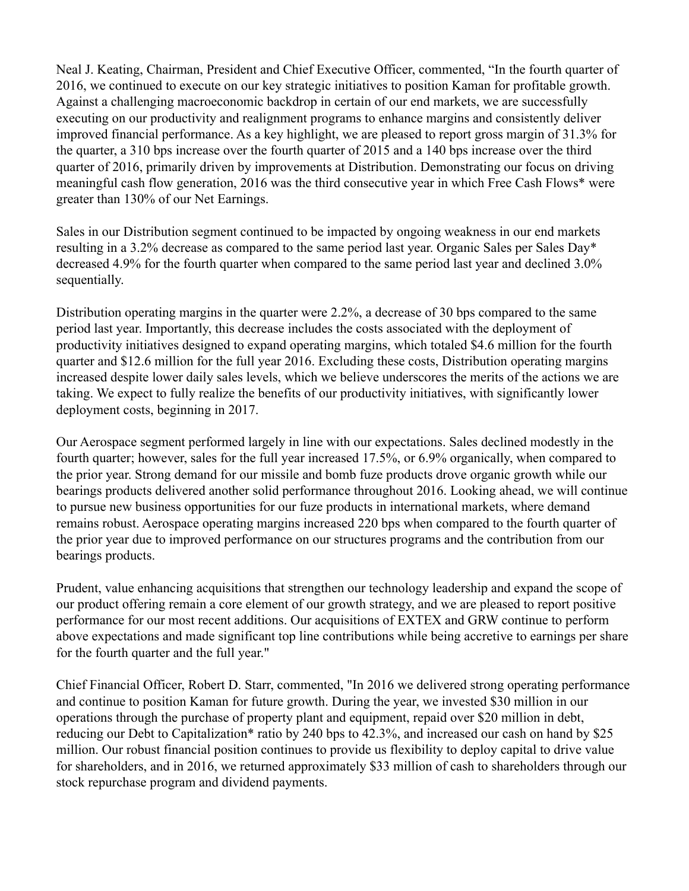Neal J. Keating, Chairman, President and Chief Executive Officer, commented, "In the fourth quarter of 2016, we continued to execute on our key strategic initiatives to position Kaman for profitable growth. Against a challenging macroeconomic backdrop in certain of our end markets, we are successfully executing on our productivity and realignment programs to enhance margins and consistently deliver improved financial performance. As a key highlight, we are pleased to report gross margin of 31.3% for the quarter, a 310 bps increase over the fourth quarter of 2015 and a 140 bps increase over the third quarter of 2016, primarily driven by improvements at Distribution. Demonstrating our focus on driving meaningful cash flow generation, 2016 was the third consecutive year in which Free Cash Flows\* were greater than 130% of our Net Earnings.

Sales in our Distribution segment continued to be impacted by ongoing weakness in our end markets resulting in a 3.2% decrease as compared to the same period last year. Organic Sales per Sales Day\* decreased 4.9% for the fourth quarter when compared to the same period last year and declined 3.0% sequentially.

Distribution operating margins in the quarter were 2.2%, a decrease of 30 bps compared to the same period last year. Importantly, this decrease includes the costs associated with the deployment of productivity initiatives designed to expand operating margins, which totaled \$4.6 million for the fourth quarter and \$12.6 million for the full year 2016. Excluding these costs, Distribution operating margins increased despite lower daily sales levels, which we believe underscores the merits of the actions we are taking. We expect to fully realize the benefits of our productivity initiatives, with significantly lower deployment costs, beginning in 2017.

Our Aerospace segment performed largely in line with our expectations. Sales declined modestly in the fourth quarter; however, sales for the full year increased 17.5%, or 6.9% organically, when compared to the prior year. Strong demand for our missile and bomb fuze products drove organic growth while our bearings products delivered another solid performance throughout 2016. Looking ahead, we will continue to pursue new business opportunities for our fuze products in international markets, where demand remains robust. Aerospace operating margins increased 220 bps when compared to the fourth quarter of the prior year due to improved performance on our structures programs and the contribution from our bearings products.

Prudent, value enhancing acquisitions that strengthen our technology leadership and expand the scope of our product offering remain a core element of our growth strategy, and we are pleased to report positive performance for our most recent additions. Our acquisitions of EXTEX and GRW continue to perform above expectations and made significant top line contributions while being accretive to earnings per share for the fourth quarter and the full year."

Chief Financial Officer, Robert D. Starr, commented, "In 2016 we delivered strong operating performance and continue to position Kaman for future growth. During the year, we invested \$30 million in our operations through the purchase of property plant and equipment, repaid over \$20 million in debt, reducing our Debt to Capitalization\* ratio by 240 bps to 42.3%, and increased our cash on hand by \$25 million. Our robust financial position continues to provide us flexibility to deploy capital to drive value for shareholders, and in 2016, we returned approximately \$33 million of cash to shareholders through our stock repurchase program and dividend payments.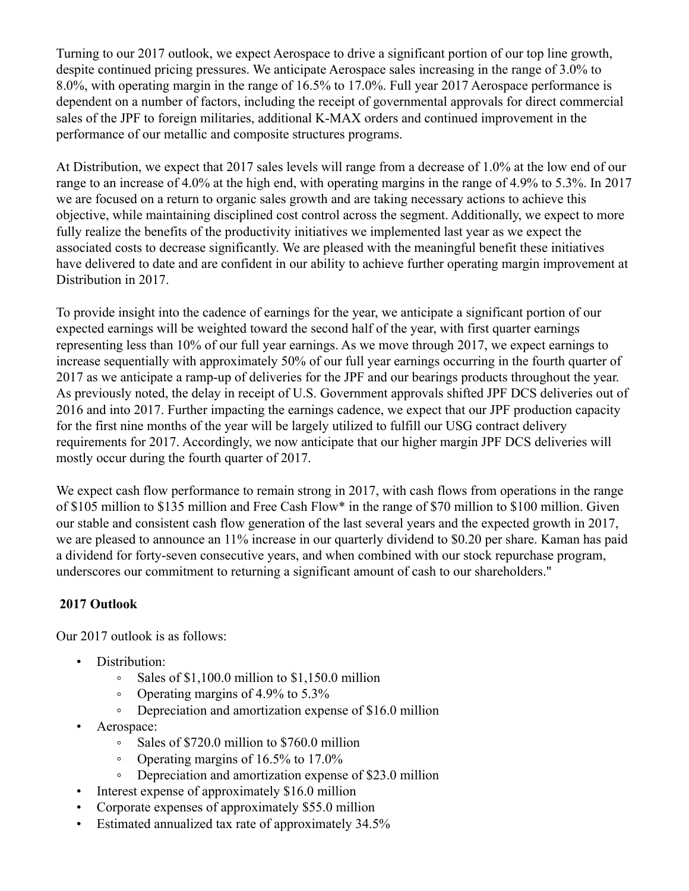Turning to our 2017 outlook, we expect Aerospace to drive a significant portion of our top line growth, despite continued pricing pressures. We anticipate Aerospace sales increasing in the range of 3.0% to 8.0%, with operating margin in the range of 16.5% to 17.0%. Full year 2017 Aerospace performance is dependent on a number of factors, including the receipt of governmental approvals for direct commercial sales of the JPF to foreign militaries, additional K-MAX orders and continued improvement in the performance of our metallic and composite structures programs.

At Distribution, we expect that 2017 sales levels will range from a decrease of 1.0% at the low end of our range to an increase of 4.0% at the high end, with operating margins in the range of 4.9% to 5.3%. In 2017 we are focused on a return to organic sales growth and are taking necessary actions to achieve this objective, while maintaining disciplined cost control across the segment. Additionally, we expect to more fully realize the benefits of the productivity initiatives we implemented last year as we expect the associated costs to decrease significantly. We are pleased with the meaningful benefit these initiatives have delivered to date and are confident in our ability to achieve further operating margin improvement at Distribution in 2017.

To provide insight into the cadence of earnings for the year, we anticipate a significant portion of our expected earnings will be weighted toward the second half of the year, with first quarter earnings representing less than 10% of our full year earnings. As we move through 2017, we expect earnings to increase sequentially with approximately 50% of our full year earnings occurring in the fourth quarter of 2017 as we anticipate a ramp-up of deliveries for the JPF and our bearings products throughout the year. As previously noted, the delay in receipt of U.S. Government approvals shifted JPF DCS deliveries out of 2016 and into 2017. Further impacting the earnings cadence, we expect that our JPF production capacity for the first nine months of the year will be largely utilized to fulfill our USG contract delivery requirements for 2017. Accordingly, we now anticipate that our higher margin JPF DCS deliveries will mostly occur during the fourth quarter of 2017.

We expect cash flow performance to remain strong in 2017, with cash flows from operations in the range of \$105 million to \$135 million and Free Cash Flow\* in the range of \$70 million to \$100 million. Given our stable and consistent cash flow generation of the last several years and the expected growth in 2017, we are pleased to announce an 11% increase in our quarterly dividend to \$0.20 per share. Kaman has paid a dividend for forty-seven consecutive years, and when combined with our stock repurchase program, underscores our commitment to returning a significant amount of cash to our shareholders."

# **2017 Outlook**

Our 2017 outlook is as follows:

- Distribution:
	- Sales of \$1,100.0 million to \$1,150.0 million  $\circ$
	- Operating margins of 4.9% to 5.3%  $\circ$
	- Depreciation and amortization expense of \$16.0 million  $\circ$
- Aerospace:
	- $\circ$ Sales of \$720.0 million to \$760.0 million
	- Operating margins of 16.5% to 17.0%  $\circ$
	- Depreciation and amortization expense of \$23.0 million  $\circ$
- Interest expense of approximately \$16.0 million
- Corporate expenses of approximately \$55.0 million
- Estimated annualized tax rate of approximately 34.5%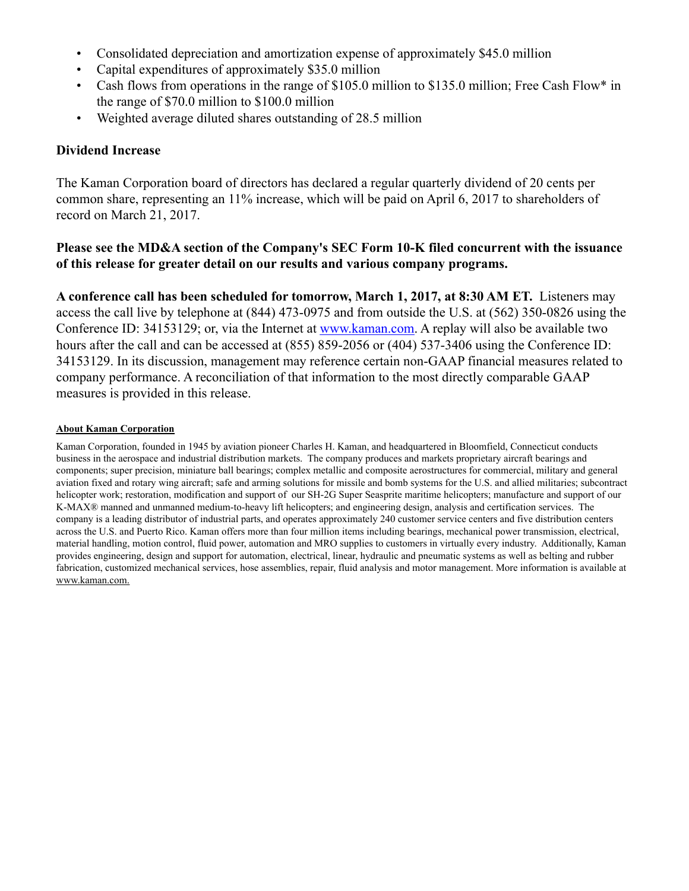- Consolidated depreciation and amortization expense of approximately \$45.0 million
- Capital expenditures of approximately \$35.0 million
- Cash flows from operations in the range of \$105.0 million to \$135.0 million; Free Cash Flow\* in the range of \$70.0 million to \$100.0 million
- Weighted average diluted shares outstanding of 28.5 million

# **Dividend Increase**

The Kaman Corporation board of directors has declared a regular quarterly dividend of 20 cents per common share, representing an 11% increase, which will be paid on April 6, 2017 to shareholders of record on March 21, 2017.

# **Please see the MD&A section of the Company's SEC Form 10-K filed concurrent with the issuance of this release for greater detail on our results and various company programs.**

**A conference call has been scheduled for tomorrow, March 1, 2017, at 8:30 AM ET.** Listeners may access the call live by telephone at (844) 473-0975 and from outside the U.S. at (562) 350-0826 using the Conference ID: 34153129; or, via the Internet at www.kaman.com. A replay will also be available two hours after the call and can be accessed at (855) 859-2056 or (404) 537-3406 using the Conference ID: 34153129. In its discussion, management may reference certain non-GAAP financial measures related to company performance. A reconciliation of that information to the most directly comparable GAAP measures is provided in this release.

## **About Kaman Corporation**

Kaman Corporation, founded in 1945 by aviation pioneer Charles H. Kaman, and headquartered in Bloomfield, Connecticut conducts business in the aerospace and industrial distribution markets. The company produces and markets proprietary aircraft bearings and components; super precision, miniature ball bearings; complex metallic and composite aerostructures for commercial, military and general aviation fixed and rotary wing aircraft; safe and arming solutions for missile and bomb systems for the U.S. and allied militaries; subcontract helicopter work; restoration, modification and support of our SH-2G Super Seasprite maritime helicopters; manufacture and support of our K-MAX® manned and unmanned medium-to-heavy lift helicopters; and engineering design, analysis and certification services. The company is a leading distributor of industrial parts, and operates approximately 240 customer service centers and five distribution centers across the U.S. and Puerto Rico. Kaman offers more than four million items including bearings, mechanical power transmission, electrical, material handling, motion control, fluid power, automation and MRO supplies to customers in virtually every industry. Additionally, Kaman provides engineering, design and support for automation, electrical, linear, hydraulic and pneumatic systems as well as belting and rubber fabrication, customized mechanical services, hose assemblies, repair, fluid analysis and motor management. More information is available at www.kaman.com.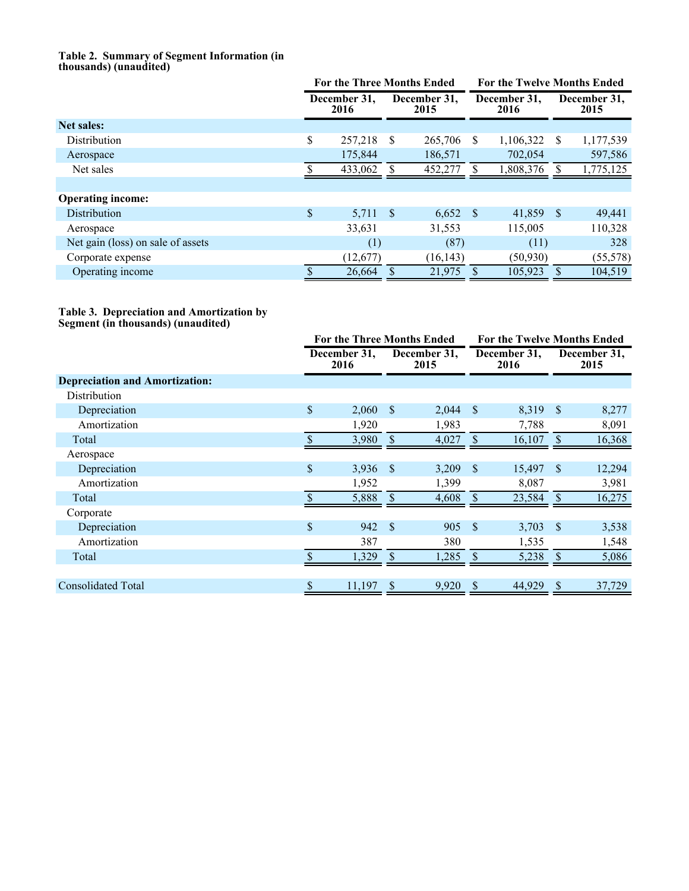#### **Table 2. Summary of Segment Information (in thousands) (unaudited)**

|                                   | <b>For the Three Months Ended</b> |          |                      |            | <b>For the Twelve Months Ended</b> |           |   |                      |
|-----------------------------------|-----------------------------------|----------|----------------------|------------|------------------------------------|-----------|---|----------------------|
|                                   | December 31,<br>2016              |          | December 31,<br>2015 |            | December 31,<br>2016               |           |   | December 31,<br>2015 |
| <b>Net sales:</b>                 |                                   |          |                      |            |                                    |           |   |                      |
| Distribution                      | \$                                | 257,218  | S                    | 265,706    | S                                  | 1,106,322 | S | 1,177,539            |
| Aerospace                         |                                   | 175,844  |                      | 186,571    |                                    | 702,054   |   | 597,586              |
| Net sales                         |                                   | 433,062  |                      | 452,277    | \$.                                | 1,808,376 |   | 1,775,125            |
|                                   |                                   |          |                      |            |                                    |           |   |                      |
| <b>Operating income:</b>          |                                   |          |                      |            |                                    |           |   |                      |
| <b>Distribution</b>               | \$                                | 5,711    | -S                   | $6,652$ \$ |                                    | 41,859 \$ |   | 49,441               |
| Aerospace                         |                                   | 33,631   |                      | 31,553     |                                    | 115,005   |   | 110,328              |
| Net gain (loss) on sale of assets |                                   | (1)      |                      | (87)       |                                    | (11)      |   | 328                  |
| Corporate expense                 |                                   | (12,677) |                      | (16, 143)  |                                    | (50, 930) |   | (55, 578)            |
| Operating income                  |                                   | 26,664   |                      | 21,975     |                                    | 105,923   |   | 104,519              |

#### **Table 3. Depreciation and Amortization by Segment (in thousands) (unaudited)**

|                                       |    | For the Three Months Ended |               |                      |               | <b>For the Twelve Months Ended</b> |               |                      |  |
|---------------------------------------|----|----------------------------|---------------|----------------------|---------------|------------------------------------|---------------|----------------------|--|
|                                       |    | December 31,<br>2016       |               | December 31,<br>2015 |               | December 31,<br>2016               |               | December 31,<br>2015 |  |
| <b>Depreciation and Amortization:</b> |    |                            |               |                      |               |                                    |               |                      |  |
| Distribution                          |    |                            |               |                      |               |                                    |               |                      |  |
| Depreciation                          | \$ | 2,060                      | -S            | 2,044                | $\mathcal{S}$ | 8,319                              | $\mathbf{s}$  | 8,277                |  |
| Amortization                          |    | 1,920                      |               | 1,983                |               | 7,788                              |               | 8,091                |  |
| Total                                 | \$ | 3,980                      | <sup>\$</sup> | 4,027                | $\mathbf{\$}$ | 16,107                             | <sup>\$</sup> | 16,368               |  |
| Aerospace                             |    |                            |               |                      |               |                                    |               |                      |  |
| Depreciation                          | \$ | 3,936                      | <sup>S</sup>  | 3,209                | $\mathcal{S}$ | 15,497                             | -S            | 12,294               |  |
| Amortization                          |    | 1,952                      |               | 1,399                |               | 8,087                              |               | 3,981                |  |
| Total                                 |    | 5,888                      | <sup>S</sup>  | 4,608                | <sup>S</sup>  | 23,584                             | <sup>S</sup>  | 16,275               |  |
| Corporate                             |    |                            |               |                      |               |                                    |               |                      |  |
| Depreciation                          | \$ | 942                        | <sup>\$</sup> | 905                  | $\mathbf{\$}$ | 3,703                              | <sup>\$</sup> | 3,538                |  |
| Amortization                          |    | 387                        |               | 380                  |               | 1,535                              |               | 1,548                |  |
| Total                                 |    | 1,329                      |               | 1,285                | $\mathcal{S}$ | 5,238                              | -S            | 5,086                |  |
|                                       |    |                            |               |                      |               |                                    |               |                      |  |
| <b>Consolidated Total</b>             | S  | 11,197                     | -S            | 9,920                | <sup>S</sup>  | 44,929                             | -S            | 37,729               |  |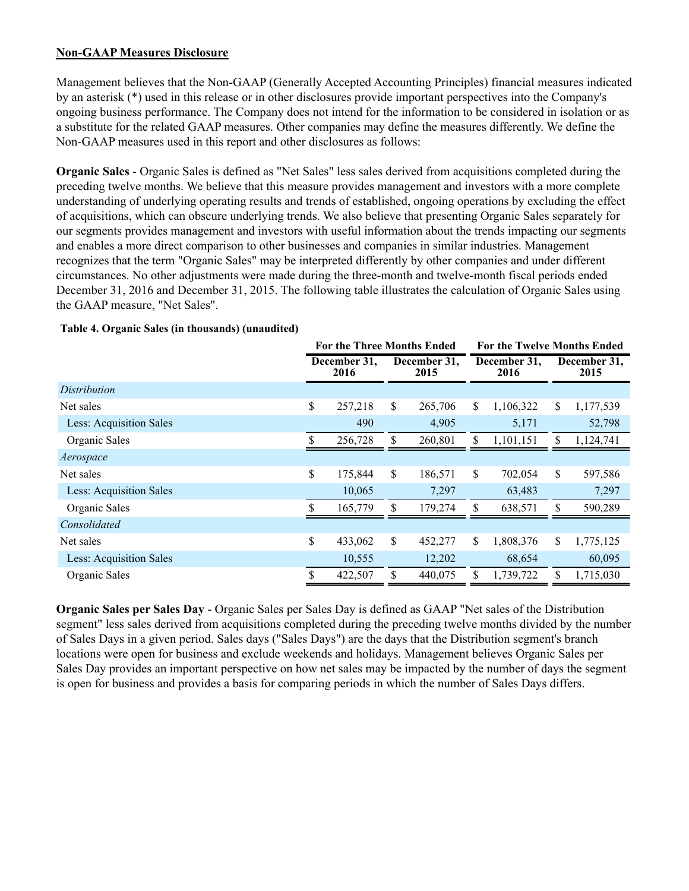## **Non-GAAP Measures Disclosure**

Management believes that the Non-GAAP (Generally Accepted Accounting Principles) financial measures indicated by an asterisk (\*) used in this release or in other disclosures provide important perspectives into the Company's ongoing business performance. The Company does not intend for the information to be considered in isolation or as a substitute for the related GAAP measures. Other companies may define the measures differently. We define the Non-GAAP measures used in this report and other disclosures as follows:

**Organic Sales** - Organic Sales is defined as "Net Sales" less sales derived from acquisitions completed during the preceding twelve months. We believe that this measure provides management and investors with a more complete understanding of underlying operating results and trends of established, ongoing operations by excluding the effect of acquisitions, which can obscure underlying trends. We also believe that presenting Organic Sales separately for our segments provides management and investors with useful information about the trends impacting our segments and enables a more direct comparison to other businesses and companies in similar industries. Management recognizes that the term "Organic Sales" may be interpreted differently by other companies and under different circumstances. No other adjustments were made during the three-month and twelve-month fiscal periods ended December 31, 2016 and December 31, 2015. The following table illustrates the calculation of Organic Sales using the GAAP measure, "Net Sales".

|                         | <b>For the Three Months Ended</b> |         |                      |         | <b>For the Twelve Months Ended</b> |           |    |                      |  |
|-------------------------|-----------------------------------|---------|----------------------|---------|------------------------------------|-----------|----|----------------------|--|
|                         | December 31,<br>2016              |         | December 31,<br>2015 |         | December 31,<br>2016               |           |    | December 31,<br>2015 |  |
| Distribution            |                                   |         |                      |         |                                    |           |    |                      |  |
| Net sales               | \$                                | 257,218 | \$                   | 265,706 | \$                                 | 1,106,322 | \$ | 1,177,539            |  |
| Less: Acquisition Sales |                                   | 490     |                      | 4,905   |                                    | 5,171     |    | 52,798               |  |
| Organic Sales           |                                   | 256,728 | \$                   | 260,801 | \$                                 | 1,101,151 | \$ | 1,124,741            |  |
| Aerospace               |                                   |         |                      |         |                                    |           |    |                      |  |
| Net sales               | \$                                | 175,844 | \$                   | 186,571 | \$                                 | 702,054   | \$ | 597,586              |  |
| Less: Acquisition Sales |                                   | 10,065  |                      | 7,297   |                                    | 63,483    |    | 7,297                |  |
| Organic Sales           |                                   | 165,779 | \$                   | 179,274 | \$                                 | 638,571   | \$ | 590,289              |  |
| Consolidated            |                                   |         |                      |         |                                    |           |    |                      |  |
| Net sales               | \$                                | 433,062 | \$                   | 452,277 | \$                                 | 1,808,376 | \$ | 1,775,125            |  |
| Less: Acquisition Sales |                                   | 10,555  |                      | 12,202  |                                    | 68,654    |    | 60,095               |  |
| Organic Sales           |                                   | 422,507 | \$                   | 440,075 | \$                                 | 1,739,722 | \$ | 1,715,030            |  |

## **Table 4. Organic Sales (in thousands) (unaudited)**

**Organic Sales per Sales Day** - Organic Sales per Sales Day is defined as GAAP "Net sales of the Distribution segment" less sales derived from acquisitions completed during the preceding twelve months divided by the number of Sales Days in a given period. Sales days ("Sales Days") are the days that the Distribution segment's branch locations were open for business and exclude weekends and holidays. Management believes Organic Sales per Sales Day provides an important perspective on how net sales may be impacted by the number of days the segment is open for business and provides a basis for comparing periods in which the number of Sales Days differs.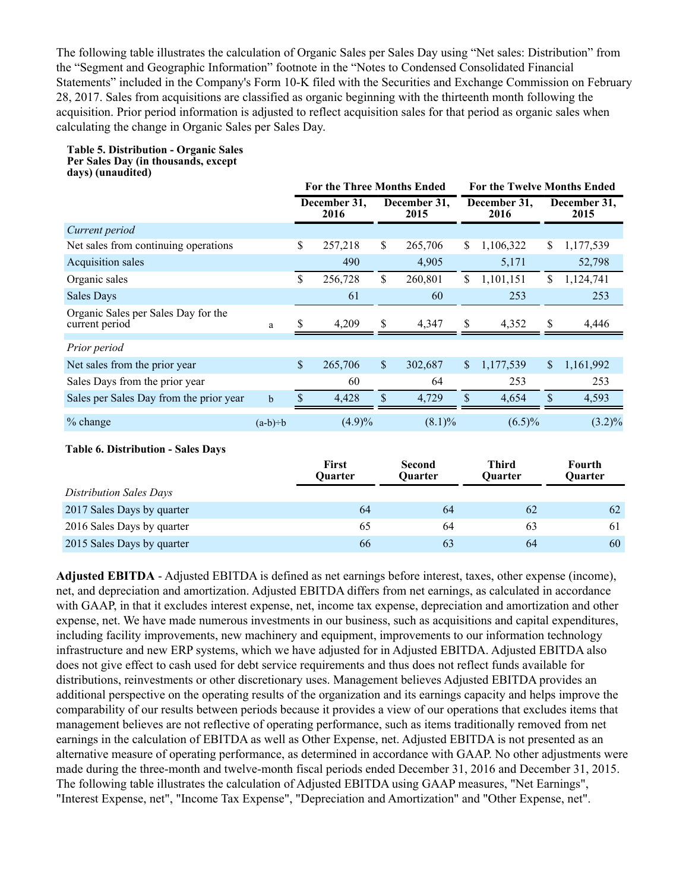The following table illustrates the calculation of Organic Sales per Sales Day using "Net sales: Distribution" from the "Segment and Geographic Information" footnote in the "Notes to Condensed Consolidated Financial Statements" included in the Company's Form 10-K filed with the Securities and Exchange Commission on February 28, 2017. Sales from acquisitions are classified as organic beginning with the thirteenth month following the acquisition. Prior period information is adjusted to reflect acquisition sales for that period as organic sales when calculating the change in Organic Sales per Sales Day.

#### **Table 5. Distribution - Organic Sales Per Sales Day (in thousands, except days) (unaudited)**

|                                                       |             | <b>For the Three Months Ended</b> |                                |                           |                                 |             | <b>For the Twelve Months Ended</b> |    |                      |  |
|-------------------------------------------------------|-------------|-----------------------------------|--------------------------------|---------------------------|---------------------------------|-------------|------------------------------------|----|----------------------|--|
|                                                       |             |                                   | December 31,<br>2016           |                           | December 31,<br>2015            |             | December 31,<br>2016               |    | December 31,<br>2015 |  |
| Current period                                        |             |                                   |                                |                           |                                 |             |                                    |    |                      |  |
| Net sales from continuing operations                  |             | \$                                | 257,218                        | \$                        | 265,706                         | \$          | 1,106,322                          | \$ | 1,177,539            |  |
| Acquisition sales                                     |             |                                   | 490                            |                           | 4,905                           |             | 5,171                              |    | 52,798               |  |
| Organic sales                                         |             | \$                                | 256,728                        | $\mathbf{\hat{S}}$        | 260,801                         | \$          | 1,101,151                          | \$ | 1,124,741            |  |
| <b>Sales Days</b>                                     |             |                                   | 61                             |                           | 60                              |             | 253                                |    | 253                  |  |
| Organic Sales per Sales Day for the<br>current period | a           |                                   | 4,209                          | \$                        | 4,347                           | \$          | 4,352                              | S  | 4,446                |  |
| Prior period                                          |             |                                   |                                |                           |                                 |             |                                    |    |                      |  |
| Net sales from the prior year                         |             | $\mathbf{\hat{S}}$                | 265,706                        | $\boldsymbol{\mathsf{S}}$ | 302,687                         | \$          | 1,177,539                          | \$ | 1,161,992            |  |
| Sales Days from the prior year                        |             |                                   | 60                             |                           | 64                              |             | 253                                |    | 253                  |  |
| Sales per Sales Day from the prior year               | $\mathbf b$ | $\mathsf{\$}$                     | 4,428                          | $\mathbb S$               | 4,729                           | $\sqrt{\ }$ | 4,654                              | \$ | 4,593                |  |
| % change                                              | $(a-b)=b$   |                                   | $(4.9)\%$                      |                           | $(8.1)\%$                       |             | $(6.5)\%$                          |    | $(3.2)\%$            |  |
| <b>Table 6. Distribution - Sales Days</b>             |             |                                   | <b>First</b><br><b>Ouarter</b> |                           | <b>Second</b><br><b>Ouarter</b> |             | <b>Third</b><br><b>Ouarter</b>     |    | Fourth<br>Quarter    |  |
| <b>Distribution Sales Days</b>                        |             |                                   |                                |                           |                                 |             |                                    |    |                      |  |
| 2017 Sales Days by quarter                            |             |                                   | 64                             |                           | 64                              |             | 62                                 |    | 62                   |  |
| 2016 Sales Days by quarter                            |             |                                   | 65                             |                           | 64                              |             | 63                                 |    | 61                   |  |
| 2015 Sales Days by quarter                            |             |                                   | 66                             |                           | 63                              |             | 64                                 |    | 60                   |  |

**Adjusted EBITDA** - Adjusted EBITDA is defined as net earnings before interest, taxes, other expense (income), net, and depreciation and amortization. Adjusted EBITDA differs from net earnings, as calculated in accordance with GAAP, in that it excludes interest expense, net, income tax expense, depreciation and amortization and other expense, net. We have made numerous investments in our business, such as acquisitions and capital expenditures, including facility improvements, new machinery and equipment, improvements to our information technology infrastructure and new ERP systems, which we have adjusted for in Adjusted EBITDA. Adjusted EBITDA also does not give effect to cash used for debt service requirements and thus does not reflect funds available for distributions, reinvestments or other discretionary uses. Management believes Adjusted EBITDA provides an additional perspective on the operating results of the organization and its earnings capacity and helps improve the comparability of our results between periods because it provides a view of our operations that excludes items that management believes are not reflective of operating performance, such as items traditionally removed from net earnings in the calculation of EBITDA as well as Other Expense, net. Adjusted EBITDA is not presented as an alternative measure of operating performance, as determined in accordance with GAAP. No other adjustments were made during the three-month and twelve-month fiscal periods ended December 31, 2016 and December 31, 2015. The following table illustrates the calculation of Adjusted EBITDA using GAAP measures, "Net Earnings", "Interest Expense, net", "Income Tax Expense", "Depreciation and Amortization" and "Other Expense, net".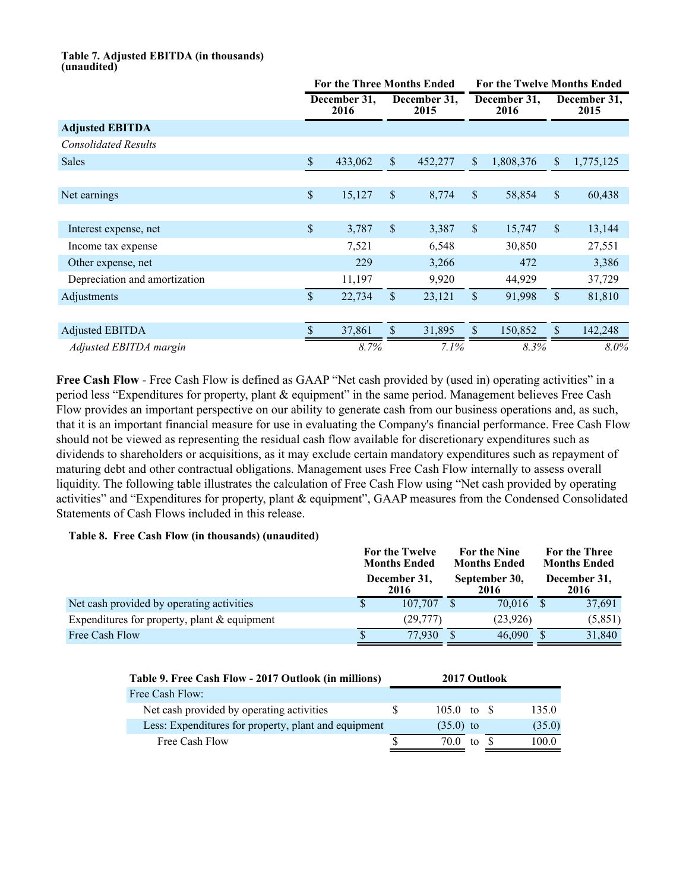#### **Table 7. Adjusted EBITDA (in thousands) (unaudited)**

|                               |               | <b>For the Three Months Ended</b> |               | <b>For the Twelve Months Ended</b> |                           |                      |               |                      |
|-------------------------------|---------------|-----------------------------------|---------------|------------------------------------|---------------------------|----------------------|---------------|----------------------|
|                               |               | December 31,<br>2016              |               | December 31,<br>2015               |                           | December 31,<br>2016 |               | December 31,<br>2015 |
| <b>Adjusted EBITDA</b>        |               |                                   |               |                                    |                           |                      |               |                      |
| <b>Consolidated Results</b>   |               |                                   |               |                                    |                           |                      |               |                      |
| <b>Sales</b>                  | $\mathsf{\$}$ | 433,062                           | $\mathbb{S}$  | 452,277                            | \$                        | 1,808,376            | $\mathbb{S}$  | 1,775,125            |
|                               |               |                                   |               |                                    |                           |                      |               |                      |
| Net earnings                  | \$            | 15,127                            | $\mathbb{S}$  | 8,774                              | $\mathcal{S}$             | 58,854               | $\mathbb{S}$  | 60,438               |
|                               |               |                                   |               |                                    |                           |                      |               |                      |
| Interest expense, net         | \$            | 3,787                             | $\mathbb{S}$  | 3,387                              | $\boldsymbol{\mathsf{S}}$ | 15,747               | $\mathbb{S}$  | 13,144               |
| Income tax expense            |               | 7,521                             |               | 6,548                              |                           | 30,850               |               | 27,551               |
| Other expense, net            |               | 229                               |               | 3,266                              |                           | 472                  |               | 3,386                |
| Depreciation and amortization |               | 11,197                            |               | 9,920                              |                           | 44,929               |               | 37,729               |
| Adjustments                   | $\mathbf{\$}$ | 22,734                            | \$            | 23,121                             | $\mathcal{S}$             | 91,998               | $\mathsf{\$}$ | 81,810               |
|                               |               |                                   |               |                                    |                           |                      |               |                      |
| <b>Adjusted EBITDA</b>        | $\mathcal{S}$ | 37,861                            | $\mathcal{S}$ | 31,895                             | \$                        | 150,852              | $\mathsf{\$}$ | 142,248              |
| Adjusted EBITDA margin        |               | 8.7%                              |               | 7.1%                               |                           | 8.3%                 |               | $8.0\%$              |

Free Cash Flow - Free Cash Flow is defined as GAAP "Net cash provided by (used in) operating activities" in a period less "Expenditures for property, plant & equipment" in the same period. Management believes Free Cash Flow provides an important perspective on our ability to generate cash from our business operations and, as such, that it is an important financial measure for use in evaluating the Company's financial performance. Free Cash Flow should not be viewed as representing the residual cash flow available for discretionary expenditures such as dividends to shareholders or acquisitions, as it may exclude certain mandatory expenditures such as repayment of maturing debt and other contractual obligations. Management uses Free Cash Flow internally to assess overall liquidity. The following table illustrates the calculation of Free Cash Flow using "Net cash provided by operating activities" and "Expenditures for property, plant & equipment", GAAP measures from the Condensed Consolidated Statements of Cash Flows included in this release.

## **Table 8. Free Cash Flow (in thousands) (unaudited)**

|                                                |                      | For the Twelve<br><b>Months Ended</b> |   | For the Nine<br><b>Months Ended</b> | For the Three<br><b>Months Ended</b> |
|------------------------------------------------|----------------------|---------------------------------------|---|-------------------------------------|--------------------------------------|
|                                                | December 31,<br>2016 |                                       |   |                                     | December 31,<br>2016                 |
| Net cash provided by operating activities      |                      | 107.707                               |   | 70.016                              | 37,691                               |
| Expenditures for property, plant $&$ equipment |                      | (29,777)                              |   | (23,926)                            | (5, 851)                             |
| Free Cash Flow                                 |                      | 77.930                                | S | 46,090                              | 31,840                               |

| Table 9. Free Cash Flow - 2017 Outlook (in millions) |   | 2017 Outlook         |    |        |
|------------------------------------------------------|---|----------------------|----|--------|
| Free Cash Flow:                                      |   |                      |    |        |
| Net cash provided by operating activities            | S | 105.0 to $\text{\$}$ |    | 135.0  |
| Less: Expenditures for property, plant and equipment |   | $(35.0)$ to          |    | (35.0) |
| Free Cash Flow                                       |   | 70 O                 | to | 100.0  |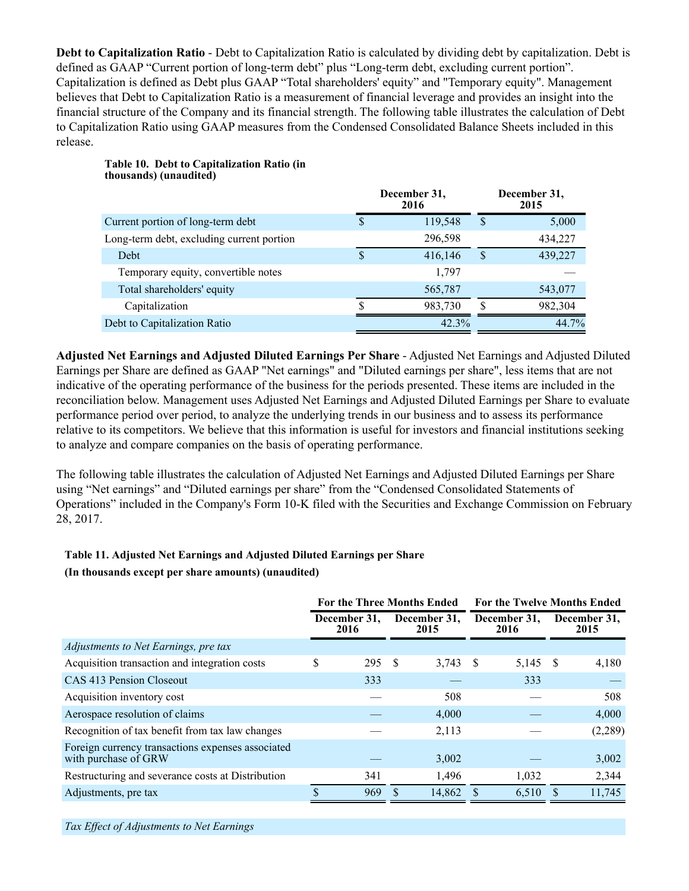**Debt to Capitalization Ratio** - Debt to Capitalization Ratio is calculated by dividing debt by capitalization. Debt is defined as GAAP "Current portion of long-term debt" plus "Long-term debt, excluding current portion". Capitalization is defined as Debt plus GAAP "Total shareholders' equity" and "Temporary equity". Management believes that Debt to Capitalization Ratio is a measurement of financial leverage and provides an insight into the financial structure of the Company and its financial strength. The following table illustrates the calculation of Debt to Capitalization Ratio using GAAP measures from the Condensed Consolidated Balance Sheets included in this release.

|                                           |   | December 31,<br>2016 |    | December 31,<br>2015 |
|-------------------------------------------|---|----------------------|----|----------------------|
| Current portion of long-term debt         | S | 119,548              | S  | 5,000                |
| Long-term debt, excluding current portion |   | 296,598              |    | 434,227              |
| Debt                                      | S | 416,146              | S  | 439,227              |
| Temporary equity, convertible notes       |   | 1,797                |    |                      |
| Total shareholders' equity                |   | 565,787              |    | 543,077              |
| Capitalization                            | ९ | 983,730              | .Ъ | 982,304              |
| Debt to Capitalization Ratio              |   | 42.3%                |    | 44.7%                |

### **Table 10. Debt to Capitalization Ratio (in thousands) (unaudited)**

**Adjusted Net Earnings and Adjusted Diluted Earnings Per Share** - Adjusted Net Earnings and Adjusted Diluted Earnings per Share are defined as GAAP "Net earnings" and "Diluted earnings per share", less items that are not indicative of the operating performance of the business for the periods presented. These items are included in the reconciliation below. Management uses Adjusted Net Earnings and Adjusted Diluted Earnings per Share to evaluate performance period over period, to analyze the underlying trends in our business and to assess its performance relative to its competitors. We believe that this information is useful for investors and financial institutions seeking to analyze and compare companies on the basis of operating performance.

The following table illustrates the calculation of Adjusted Net Earnings and Adjusted Diluted Earnings per Share using "Net earnings" and "Diluted earnings per share" from the "Condensed Consolidated Statements of Operations" included in the Company's Form 10-K filed with the Securities and Exchange Commission on February 28, 2017.

## **Table 11. Adjusted Net Earnings and Adjusted Diluted Earnings per Share (In thousands except per share amounts) (unaudited)**

|                                                                           | <b>For the Three Months Ended</b> |                      |                      |        |                      | <b>For the Twelve Months Ended</b> |              |                      |  |
|---------------------------------------------------------------------------|-----------------------------------|----------------------|----------------------|--------|----------------------|------------------------------------|--------------|----------------------|--|
|                                                                           |                                   | December 31,<br>2016 | December 31,<br>2015 |        | December 31,<br>2016 |                                    |              | December 31,<br>2015 |  |
| Adjustments to Net Earnings, pre tax                                      |                                   |                      |                      |        |                      |                                    |              |                      |  |
| Acquisition transaction and integration costs                             | \$                                | 295S                 |                      | 3,743  | -S                   | 5,145                              | <sup>S</sup> | 4,180                |  |
| CAS 413 Pension Closeout                                                  |                                   | 333                  |                      |        |                      | 333                                |              |                      |  |
| Acquisition inventory cost                                                |                                   |                      |                      | 508    |                      |                                    |              | 508                  |  |
| Aerospace resolution of claims                                            |                                   |                      |                      | 4,000  |                      |                                    |              | 4,000                |  |
| Recognition of tax benefit from tax law changes                           |                                   |                      |                      | 2,113  |                      |                                    |              | (2,289)              |  |
| Foreign currency transactions expenses associated<br>with purchase of GRW |                                   |                      |                      | 3,002  |                      |                                    |              | 3,002                |  |
| Restructuring and severance costs at Distribution                         |                                   | 341                  |                      | 1,496  |                      | 1,032                              |              | 2,344                |  |
| Adjustments, pre tax                                                      |                                   | 969                  |                      | 14,862 |                      | 6,510                              |              | 11,745               |  |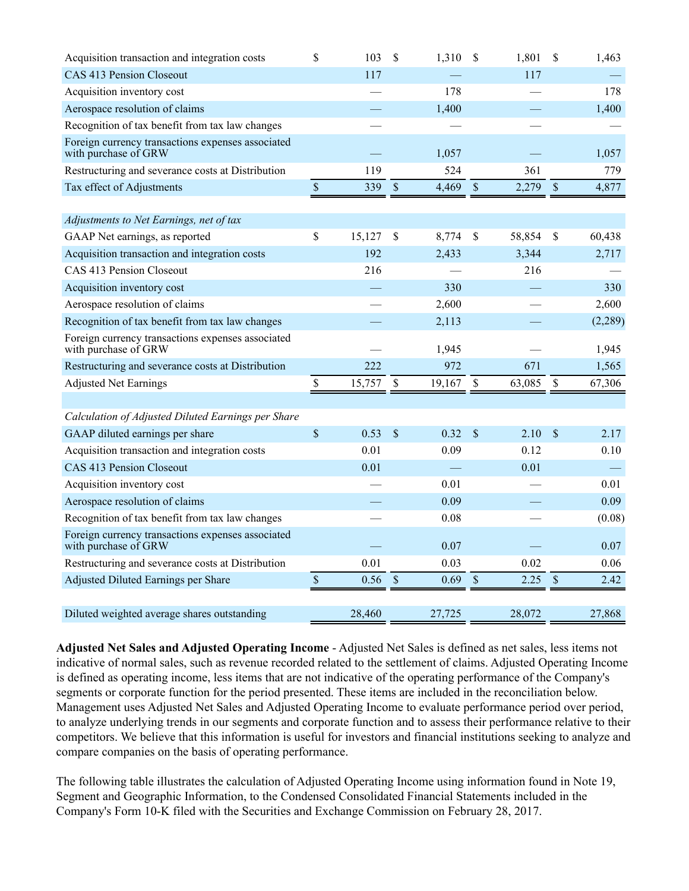| Acquisition transaction and integration costs                             | \$           | 103    | $\mathcal{S}$ | 1,310  | $\mathcal{S}$ | 1,801  | \$          | 1,463    |
|---------------------------------------------------------------------------|--------------|--------|---------------|--------|---------------|--------|-------------|----------|
| CAS 413 Pension Closeout                                                  |              | 117    |               |        |               | 117    |             |          |
| Acquisition inventory cost                                                |              |        |               | 178    |               |        |             | 178      |
| Aerospace resolution of claims                                            |              |        |               | 1,400  |               |        |             | 1,400    |
| Recognition of tax benefit from tax law changes                           |              |        |               |        |               |        |             |          |
| Foreign currency transactions expenses associated<br>with purchase of GRW |              |        |               | 1,057  |               |        |             | 1,057    |
| Restructuring and severance costs at Distribution                         |              | 119    |               | 524    |               | 361    |             | 779      |
| Tax effect of Adjustments                                                 | $\mathbb S$  | 339    | $\mathcal{S}$ | 4,469  | $\mathcal{S}$ | 2,279  | $\mathbb S$ | 4,877    |
|                                                                           |              |        |               |        |               |        |             |          |
| Adjustments to Net Earnings, net of tax                                   |              |        |               |        |               |        |             |          |
| GAAP Net earnings, as reported                                            | $\mathbb{S}$ | 15,127 | \$            | 8,774  | \$            | 58,854 | \$          | 60,438   |
| Acquisition transaction and integration costs                             |              | 192    |               | 2,433  |               | 3,344  |             | 2,717    |
| CAS 413 Pension Closeout                                                  |              | 216    |               |        |               | 216    |             |          |
| Acquisition inventory cost                                                |              |        |               | 330    |               |        |             | 330      |
| Aerospace resolution of claims                                            |              |        |               | 2,600  |               |        |             | 2,600    |
| Recognition of tax benefit from tax law changes                           |              |        |               | 2,113  |               |        |             | (2, 289) |
| Foreign currency transactions expenses associated<br>with purchase of GRW |              |        |               | 1,945  |               |        |             | 1,945    |
| Restructuring and severance costs at Distribution                         |              | 222    |               | 972    |               | 671    |             | 1,565    |
| <b>Adjusted Net Earnings</b>                                              | $\mathbb S$  | 15,757 | $\mathbb{S}$  | 19,167 | \$            | 63,085 | \$          | 67,306   |
|                                                                           |              |        |               |        |               |        |             |          |
| Calculation of Adjusted Diluted Earnings per Share                        |              |        |               |        |               |        |             |          |
| GAAP diluted earnings per share                                           | $\sqrt{\ }$  | 0.53   | \$            | 0.32   | \$            | 2.10   | \$          | 2.17     |
| Acquisition transaction and integration costs                             |              | 0.01   |               | 0.09   |               | 0.12   |             | 0.10     |
| CAS 413 Pension Closeout                                                  |              | 0.01   |               |        |               | 0.01   |             |          |
| Acquisition inventory cost                                                |              |        |               | 0.01   |               |        |             | 0.01     |
| Aerospace resolution of claims                                            |              |        |               | 0.09   |               |        |             | 0.09     |
| Recognition of tax benefit from tax law changes                           |              |        |               | 0.08   |               |        |             | (0.08)   |
| Foreign currency transactions expenses associated<br>with purchase of GRW |              |        |               | 0.07   |               |        |             | 0.07     |
| Restructuring and severance costs at Distribution                         |              | 0.01   |               | 0.03   |               | 0.02   |             | 0.06     |
| Adjusted Diluted Earnings per Share                                       | $\mathbb S$  | 0.56   | $\mathbb{S}$  | 0.69   | $\mathcal{S}$ | 2.25   | $\mathbb S$ | 2.42     |
|                                                                           |              |        |               |        |               |        |             |          |
| Diluted weighted average shares outstanding                               |              | 28,460 |               | 27,725 |               | 28,072 |             | 27,868   |

**Adjusted Net Sales and Adjusted Operating Income** - Adjusted Net Sales is defined as net sales, less items not indicative of normal sales, such as revenue recorded related to the settlement of claims. Adjusted Operating Income is defined as operating income, less items that are not indicative of the operating performance of the Company's segments or corporate function for the period presented. These items are included in the reconciliation below. Management uses Adjusted Net Sales and Adjusted Operating Income to evaluate performance period over period, to analyze underlying trends in our segments and corporate function and to assess their performance relative to their competitors. We believe that this information is useful for investors and financial institutions seeking to analyze and compare companies on the basis of operating performance.

The following table illustrates the calculation of Adjusted Operating Income using information found in Note 19, Segment and Geographic Information, to the Condensed Consolidated Financial Statements included in the Company's Form 10-K filed with the Securities and Exchange Commission on February 28, 2017.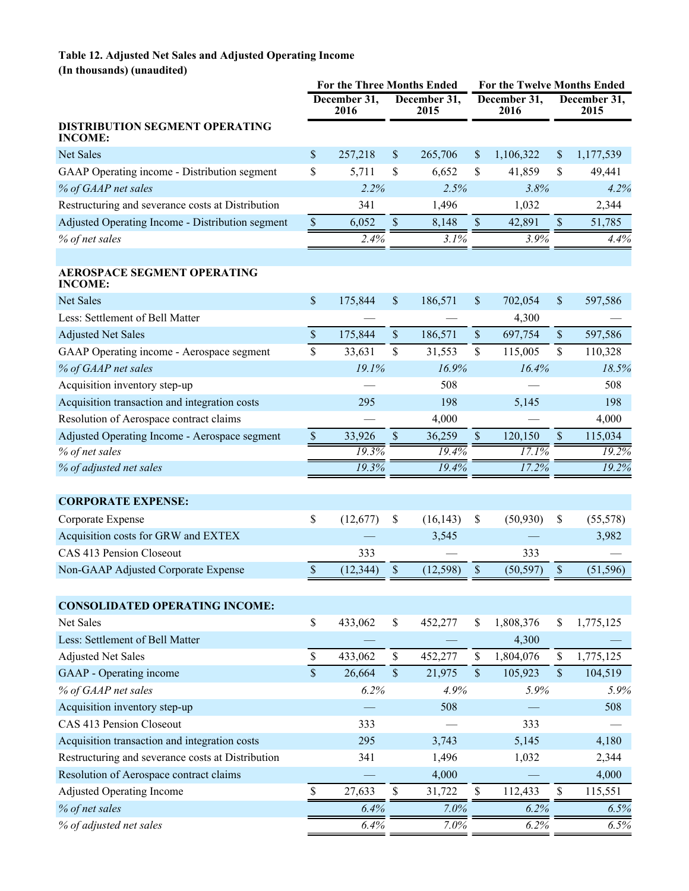## **Table 12. Adjusted Net Sales and Adjusted Operating Income (In thousands) (unaudited)**

|                                                         | For the Three Months Ended |                      |                           |                      |                           | <b>For the Twelve Months Ended</b> |                           |                      |
|---------------------------------------------------------|----------------------------|----------------------|---------------------------|----------------------|---------------------------|------------------------------------|---------------------------|----------------------|
|                                                         |                            | December 31,<br>2016 |                           | December 31,<br>2015 |                           | December 31,<br>2016               |                           | December 31,<br>2015 |
| <b>DISTRIBUTION SEGMENT OPERATING</b><br><b>INCOME:</b> |                            |                      |                           |                      |                           |                                    |                           |                      |
| Net Sales                                               | \$                         | 257,218              | \$                        | 265,706              | \$                        | 1,106,322                          | \$                        | 1,177,539            |
| GAAP Operating income - Distribution segment            | \$                         | 5,711                | \$                        | 6,652                | \$                        | 41,859                             | \$                        | 49,441               |
| % of GAAP net sales                                     |                            | 2.2%                 |                           | 2.5%                 |                           | 3.8%                               |                           | 4.2%                 |
| Restructuring and severance costs at Distribution       |                            | 341                  |                           | 1,496                |                           | 1,032                              |                           | 2,344                |
| Adjusted Operating Income - Distribution segment        | $\mathbb S$                | 6,052                | $\mathbb S$               | 8,148                | $\$$                      | 42,891                             | $\boldsymbol{\mathsf{S}}$ | 51,785               |
| % of net sales                                          |                            | 2.4%                 |                           | 3.1%                 |                           | 3.9%                               |                           | 4.4%                 |
|                                                         |                            |                      |                           |                      |                           |                                    |                           |                      |
| <b>AEROSPACE SEGMENT OPERATING</b><br><b>INCOME:</b>    |                            |                      |                           |                      |                           |                                    |                           |                      |
| <b>Net Sales</b>                                        | $\mathsf{\$}$              | 175,844              | \$                        | 186,571              | $\boldsymbol{\mathsf{S}}$ | 702,054                            | \$                        | 597,586              |
| Less: Settlement of Bell Matter                         |                            |                      |                           |                      |                           | 4,300                              |                           |                      |
| <b>Adjusted Net Sales</b>                               | $\mathsf{\$}$              | 175,844              | \$                        | 186,571              | $\sqrt{\ }$               | 697,754                            | $\boldsymbol{\mathsf{S}}$ | 597,586              |
| GAAP Operating income - Aerospace segment               | \$                         | 33,631               | \$                        | 31,553               | \$                        | 115,005                            | \$                        | 110,328              |
| % of GAAP net sales                                     |                            | 19.1%                |                           | 16.9%                |                           | 16.4%                              |                           | 18.5%                |
| Acquisition inventory step-up                           |                            |                      |                           | 508                  |                           |                                    |                           | 508                  |
| Acquisition transaction and integration costs           |                            | 295                  |                           | 198                  |                           | 5,145                              |                           | 198                  |
| Resolution of Aerospace contract claims                 |                            |                      |                           | 4,000                |                           |                                    |                           | 4,000                |
| Adjusted Operating Income - Aerospace segment           | $\mathsf{\$}$              | 33,926               | $\boldsymbol{\mathsf{S}}$ | 36,259               | $\sqrt{\ }$               | 120,150                            | $\mathsf{\$}$             | 115,034              |
| % of net sales                                          |                            | 19.3%                |                           | 19.4%                |                           | 17.1%                              |                           | 19.2%                |
| % of adjusted net sales                                 |                            | 19.3%                |                           | 19.4%                |                           | 17.2%                              |                           | 19.2%                |
|                                                         |                            |                      |                           |                      |                           |                                    |                           |                      |
| <b>CORPORATE EXPENSE:</b>                               |                            |                      |                           |                      |                           |                                    |                           |                      |
| Corporate Expense                                       | \$                         | (12,677)             | \$                        | (16, 143)            | \$                        | (50, 930)                          | \$                        | (55, 578)            |
| Acquisition costs for GRW and EXTEX                     |                            |                      |                           | 3,545                |                           |                                    |                           | 3,982                |
| CAS 413 Pension Closeout                                |                            | 333                  |                           |                      |                           | 333                                |                           |                      |
| Non-GAAP Adjusted Corporate Expense                     | \$                         | (12, 344)            | $\boldsymbol{\mathsf{S}}$ | (12, 598)            | \$                        | (50, 597)                          | \$                        | (51, 596)            |
|                                                         |                            |                      |                           |                      |                           |                                    |                           |                      |
| <b>CONSOLIDATED OPERATING INCOME:</b>                   |                            |                      |                           |                      |                           |                                    |                           |                      |
| Net Sales                                               | \$                         | 433,062              | \$                        | 452,277              | \$                        | 1,808,376                          | \$                        | 1,775,125            |
| Less: Settlement of Bell Matter                         |                            |                      |                           |                      |                           | 4,300                              |                           |                      |
| <b>Adjusted Net Sales</b>                               | \$                         | 433,062              | $\mathbb S$               | 452,277              | \$                        | 1,804,076                          | \$                        | 1,775,125            |
| GAAP - Operating income                                 | $\mathsf{\$}$              | 26,664               | $\mathbb S$               | 21,975               | $\mathsf{\$}$             | 105,923                            | $\mathsf{\$}$             | 104,519              |
| % of GAAP net sales                                     |                            | 6.2%                 |                           | 4.9%                 |                           | 5.9%                               |                           | 5.9%                 |
| Acquisition inventory step-up                           |                            |                      |                           | 508                  |                           |                                    |                           | 508                  |
| CAS 413 Pension Closeout                                |                            | 333                  |                           |                      |                           | 333                                |                           |                      |
| Acquisition transaction and integration costs           |                            | 295                  |                           | 3,743                |                           | 5,145                              |                           | 4,180                |
| Restructuring and severance costs at Distribution       |                            | 341                  |                           | 1,496                |                           | 1,032                              |                           | 2,344                |
| Resolution of Aerospace contract claims                 |                            |                      |                           | 4,000                |                           |                                    |                           | 4,000                |
| <b>Adjusted Operating Income</b>                        | -S                         | 27,633               | \$                        | 31,722               | \$                        | 112,433                            | $\mathcal{S}$             | 115,551              |
| % of net sales                                          |                            | 6.4%                 |                           | 7.0%                 |                           | 6.2%                               |                           | 6.5%                 |
| % of adjusted net sales                                 |                            | 6.4%                 |                           | 7.0%                 |                           | 6.2%                               |                           | 6.5%                 |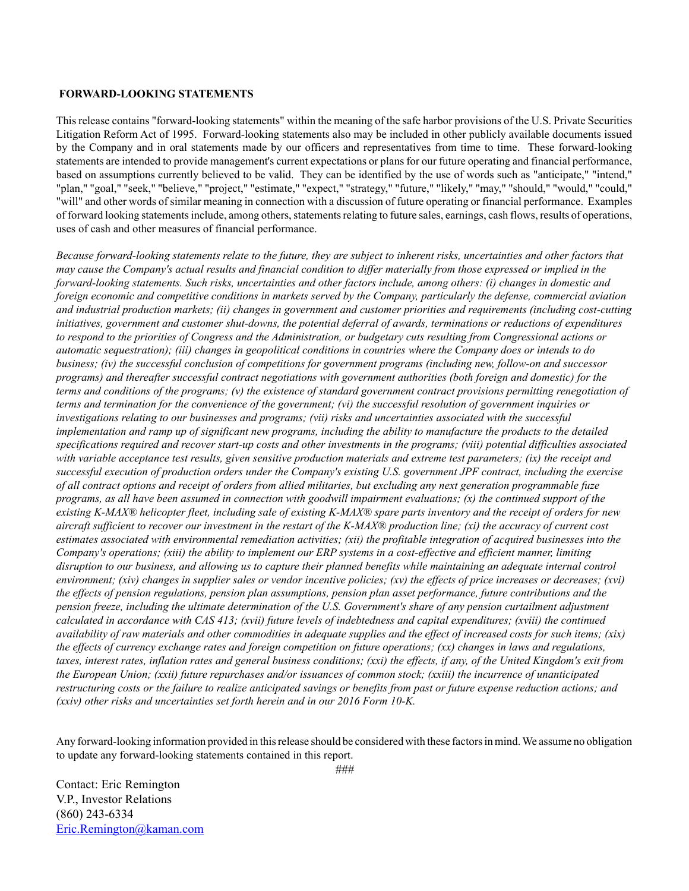#### **FORWARD-LOOKING STATEMENTS**

This release contains "forward-looking statements" within the meaning of the safe harbor provisions of the U.S. Private Securities Litigation Reform Act of 1995. Forward-looking statements also may be included in other publicly available documents issued by the Company and in oral statements made by our officers and representatives from time to time. These forward-looking statements are intended to provide management's current expectations or plans for our future operating and financial performance, based on assumptions currently believed to be valid. They can be identified by the use of words such as "anticipate," "intend," "plan," "goal," "seek," "believe," "project," "estimate," "expect," "strategy," "future," "likely," "may," "should," "would," "could," "will" and other words of similar meaning in connection with a discussion of future operating or financial performance. Examples of forward looking statements include, among others, statements relating to future sales, earnings, cash flows, results of operations, uses of cash and other measures of financial performance.

*Because forward-looking statements relate to the future, they are subject to inherent risks, uncertainties and other factors that may cause the Company's actual results and financial condition to differ materially from those expressed or implied in the forward-looking statements. Such risks, uncertainties and other factors include, among others: (i) changes in domestic and foreign economic and competitive conditions in markets served by the Company, particularly the defense, commercial aviation and industrial production markets; (ii) changes in government and customer priorities and requirements (including cost-cutting initiatives, government and customer shut-downs, the potential deferral of awards, terminations or reductions of expenditures to respond to the priorities of Congress and the Administration, or budgetary cuts resulting from Congressional actions or automatic sequestration); (iii) changes in geopolitical conditions in countries where the Company does or intends to do business; (iv) the successful conclusion of competitions for government programs (including new, follow-on and successor programs) and thereafter successful contract negotiations with government authorities (both foreign and domestic) for the terms and conditions of the programs; (v) the existence of standard government contract provisions permitting renegotiation of terms and termination for the convenience of the government; (vi) the successful resolution of government inquiries or investigations relating to our businesses and programs; (vii) risks and uncertainties associated with the successful implementation and ramp up of significant new programs, including the ability to manufacture the products to the detailed specifications required and recover start-up costs and other investments in the programs; (viii) potential difficulties associated with variable acceptance test results, given sensitive production materials and extreme test parameters; (ix) the receipt and successful execution of production orders under the Company's existing U.S. government JPF contract, including the exercise of all contract options and receipt of orders from allied militaries, but excluding any next generation programmable fuze programs, as all have been assumed in connection with goodwill impairment evaluations; (x) the continued support of the existing K-MAX® helicopter fleet, including sale of existing K-MAX® spare parts inventory and the receipt of orders for new aircraft sufficient to recover our investment in the restart of the K-MAX® production line; (xi) the accuracy of current cost estimates associated with environmental remediation activities; (xii) the profitable integration of acquired businesses into the Company's operations; (xiii) the ability to implement our ERP systems in a cost-effective and efficient manner, limiting disruption to our business, and allowing us to capture their planned benefits while maintaining an adequate internal control environment; (xiv) changes in supplier sales or vendor incentive policies; (xv) the effects of price increases or decreases; (xvi) the effects of pension regulations, pension plan assumptions, pension plan asset performance, future contributions and the pension freeze, including the ultimate determination of the U.S. Government's share of any pension curtailment adjustment calculated in accordance with CAS 413; (xvii) future levels of indebtedness and capital expenditures; (xviii) the continued availability of raw materials and other commodities in adequate supplies and the effect of increased costs for such items; (xix) the effects of currency exchange rates and foreign competition on future operations; (xx) changes in laws and regulations, taxes, interest rates, inflation rates and general business conditions; (xxi) the effects, if any, of the United Kingdom's exit from the European Union; (xxii) future repurchases and/or issuances of common stock; (xxiii) the incurrence of unanticipated restructuring costs or the failure to realize anticipated savings or benefits from past or future expense reduction actions; and (xxiv) other risks and uncertainties set forth herein and in our 2016 Form 10-K.*

Any forward-looking information provided in this release should be considered with these factors in mind. We assume no obligation to update any forward-looking statements contained in this report.

Contact: Eric Remington V.P., Investor Relations (860) 243-6334 Eric.Remington@kaman.com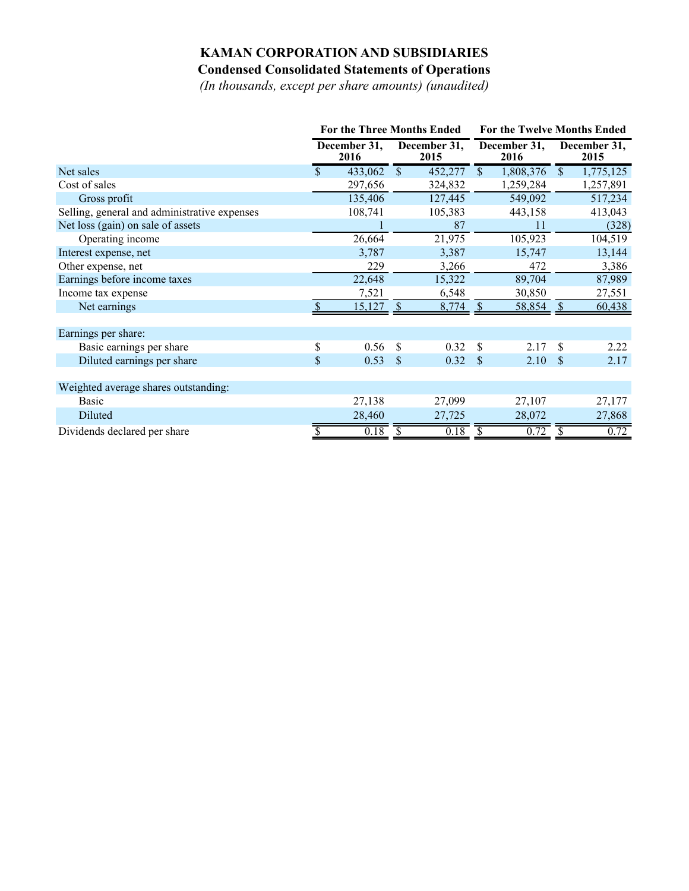# **KAMAN CORPORATION AND SUBSIDIARIES Condensed Consolidated Statements of Operations**

*(In thousands, except per share amounts) (unaudited)*

|                                              | <b>For the Three Months Ended</b> |                      |               |                      | For the Twelve Months Ended |                      |                         |                      |
|----------------------------------------------|-----------------------------------|----------------------|---------------|----------------------|-----------------------------|----------------------|-------------------------|----------------------|
|                                              |                                   | December 31,<br>2016 |               | December 31,<br>2015 |                             | December 31,<br>2016 |                         | December 31,<br>2015 |
| Net sales                                    | \$                                | 433,062              | $\mathcal{S}$ | 452,277              | $\mathbb{S}$                | 1,808,376            | $\overline{\mathbb{S}}$ | 1,775,125            |
| Cost of sales                                |                                   | 297,656              |               | 324,832              |                             | 1,259,284            |                         | 1,257,891            |
| Gross profit                                 |                                   | 135,406              |               | 127,445              |                             | 549,092              |                         | 517,234              |
| Selling, general and administrative expenses |                                   | 108,741              |               | 105,383              |                             | 443,158              |                         | 413,043              |
| Net loss (gain) on sale of assets            |                                   |                      |               | 87                   |                             | 11                   |                         | (328)                |
| Operating income                             |                                   | 26,664               |               | 21,975               |                             | 105,923              |                         | 104,519              |
| Interest expense, net                        |                                   | 3,787                |               | 3,387                |                             | 15,747               |                         | 13,144               |
| Other expense, net                           |                                   | 229                  |               | 3,266                |                             | 472                  |                         | 3,386                |
| Earnings before income taxes                 |                                   | 22,648               |               | 15,322               |                             | 89,704               |                         | 87,989               |
| Income tax expense                           |                                   | 7,521                |               | 6,548                |                             | 30,850               |                         | 27,551               |
| Net earnings                                 | \$                                | 15,127               | -S            | 8,774                | - \$                        | 58,854               | -S                      | 60,438               |
|                                              |                                   |                      |               |                      |                             |                      |                         |                      |
| Earnings per share:                          |                                   |                      |               |                      |                             |                      |                         |                      |
| Basic earnings per share                     | \$                                | 0.56                 | \$            | 0.32                 | \$                          | 2.17                 | \$                      | 2.22                 |
| Diluted earnings per share                   | $\mathbb{S}$                      | 0.53                 | <sup>\$</sup> | 0.32                 | <sup>\$</sup>               | 2.10                 | <sup>\$</sup>           | 2.17                 |
|                                              |                                   |                      |               |                      |                             |                      |                         |                      |
| Weighted average shares outstanding:         |                                   |                      |               |                      |                             |                      |                         |                      |
| <b>Basic</b>                                 |                                   | 27,138               |               | 27,099               |                             | 27,107               |                         | 27,177               |
| Diluted                                      |                                   | 28,460               |               | 27,725               |                             | 28,072               |                         | 27,868               |
| Dividends declared per share                 |                                   | 0.18                 | \$            | 0.18                 |                             | 0.72                 | \$                      | 0.72                 |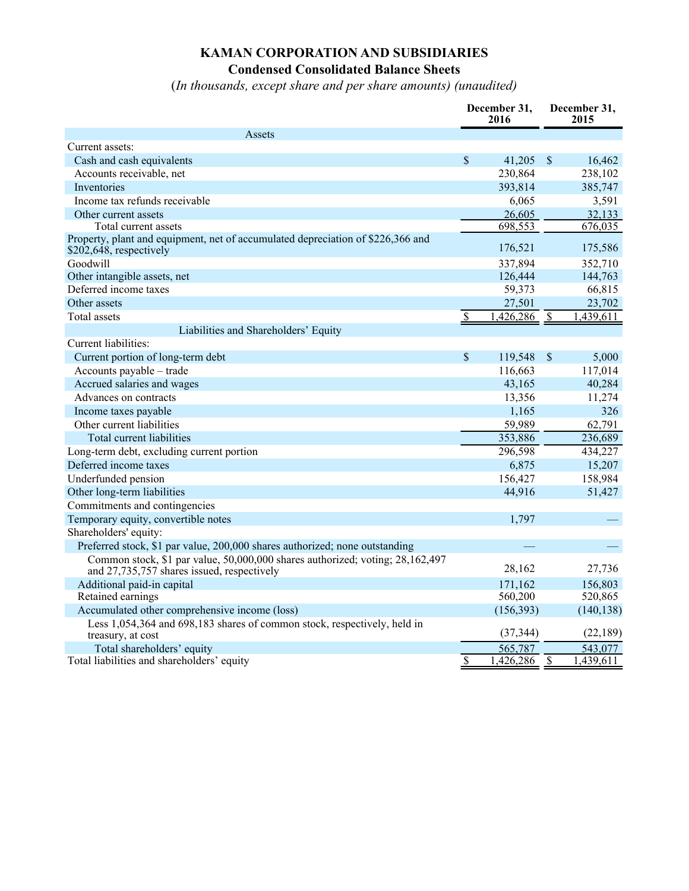# **KAMAN CORPORATION AND SUBSIDIARIES Condensed Consolidated Balance Sheets**

(*In thousands, except share and per share amounts) (unaudited)*

|                                                                                                                             | December 31,<br>2016   |                | December 31,<br>2015 |            |
|-----------------------------------------------------------------------------------------------------------------------------|------------------------|----------------|----------------------|------------|
| Assets                                                                                                                      |                        |                |                      |            |
| Current assets:                                                                                                             |                        |                |                      |            |
| Cash and cash equivalents                                                                                                   | \$                     | 41,205         | $\mathsf{\$}$        | 16,462     |
| Accounts receivable, net                                                                                                    |                        | 230,864        |                      | 238,102    |
| Inventories                                                                                                                 |                        | 393,814        |                      | 385,747    |
| Income tax refunds receivable                                                                                               |                        | 6,065          |                      | 3,591      |
| Other current assets                                                                                                        |                        | 26,605         |                      | 32,133     |
| Total current assets                                                                                                        |                        | 698,553        |                      | 676,035    |
| Property, plant and equipment, net of accumulated depreciation of \$226,366 and<br>\$202,648, respectively                  |                        | 176,521        |                      | 175,586    |
| Goodwill                                                                                                                    |                        | 337,894        |                      | 352,710    |
| Other intangible assets, net                                                                                                |                        | 126,444        |                      | 144,763    |
| Deferred income taxes                                                                                                       |                        | 59,373         |                      | 66,815     |
| Other assets                                                                                                                |                        | 27,501         |                      | 23,702     |
| Total assets                                                                                                                | $\mathbf{\mathcal{S}}$ | $1,426,286$ \$ |                      | 1,439,611  |
| Liabilities and Shareholders' Equity                                                                                        |                        |                |                      |            |
| Current liabilities:                                                                                                        |                        |                |                      |            |
| Current portion of long-term debt                                                                                           | \$                     | 119,548        | $\mathcal{S}$        | 5,000      |
| Accounts payable - trade                                                                                                    |                        | 116,663        |                      | 117,014    |
| Accrued salaries and wages                                                                                                  |                        | 43,165         |                      | 40,284     |
| Advances on contracts                                                                                                       |                        | 13,356         |                      | 11,274     |
| Income taxes payable                                                                                                        |                        | 1,165          |                      | 326        |
| Other current liabilities                                                                                                   |                        | 59,989         |                      | 62,791     |
| Total current liabilities                                                                                                   |                        | 353,886        |                      | 236,689    |
| Long-term debt, excluding current portion                                                                                   |                        | 296,598        |                      | 434,227    |
| Deferred income taxes                                                                                                       |                        | 6,875          |                      | 15,207     |
| Underfunded pension                                                                                                         |                        | 156,427        |                      | 158,984    |
| Other long-term liabilities                                                                                                 |                        | 44,916         |                      | 51,427     |
| Commitments and contingencies                                                                                               |                        |                |                      |            |
| Temporary equity, convertible notes                                                                                         |                        | 1,797          |                      |            |
| Shareholders' equity:                                                                                                       |                        |                |                      |            |
| Preferred stock, \$1 par value, 200,000 shares authorized; none outstanding                                                 |                        |                |                      |            |
| Common stock, \$1 par value, 50,000,000 shares authorized; voting; 28,162,497<br>and 27,735,757 shares issued, respectively |                        | 28,162         |                      | 27,736     |
| Additional paid-in capital                                                                                                  |                        | 171,162        |                      | 156,803    |
| Retained earnings                                                                                                           |                        | 560,200        |                      | 520,865    |
| Accumulated other comprehensive income (loss)                                                                               |                        | (156, 393)     |                      | (140, 138) |
| Less 1,054,364 and 698,183 shares of common stock, respectively, held in<br>treasury, at cost                               |                        | (37, 344)      |                      | (22, 189)  |
| Total shareholders' equity                                                                                                  |                        | 565,787        |                      | 543,077    |
| Total liabilities and shareholders' equity                                                                                  | \$                     | 1,426,286      | $\mathcal{S}$        | 1,439,611  |